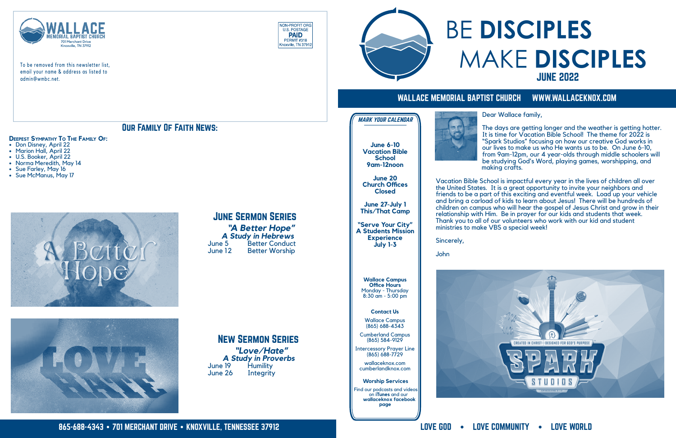

To be removed from this newsletter list, email your name & address as listed to admin@wmbc.net.





### WALLACE MEMORIAL BAPTIST CHURCH WWW.WALLACEKNOX.COM

#### **Contact Us**

Wallace Campus (865) 688-4343

Cumberland Campus (865) 584-9129

Intercessory Prayer Line (865) 688-7729

wallaceknox.com cumberlandknox.com

**Wallace Campus Office Hours** Monday - Thursday 8:30 am - 5:00 pm

#### **Worship Services**

 Find our podcasts and videos on **iTunes** and our  **wallaceknox facebook page**





**June 6-10 Vacation Bible School 9am-12noon**

**June 20 Church Offices Closed**

**June 27-July 1 This/That Camp**

**"Serve Your City" A Students Mission Experience July 1-3**

MARK YOUR CALENDAR

Our Family Of Faith News:

- **Deepest Sympathy To The Family Of: •** Don Disney, April 22
- **•** Marion Hall, April 22
- **•** U.S. Booker, April 22 **•** Norma Meredith, May 14
- **•** Sue Farley, May 16
- **•** Sue McManus, May 17





## June Sermon Series

**"A Better Hope"**<br>**A Study in Hebrews**<br>June 5 Better Conduct<br>June 12 Better Worship



New Sermon Series

**"Love/Hate"<br>A Study in Proverbs**<br>June 19 Humility<br>June 26 Integrity

## BE **DISCIPLES** MAKE **DISCIPLES** JUNE 2022

Dear Wallace family,

The days are getting longer and the weather is getting hotter. It is time for Vacation Bible School! The theme for 2022 is "Spark Studios" focusing on how our creative God works in our lives to make us who He wants us to be. On June 6-10, from 9am-12pm, our 4 year-olds through middle schoolers will be studying God's Word, playing games, worshipping, and making crafts.

Vacation Bible School is impactful every year in the lives of children all over the United States. It is a great opportunity to invite your neighbors and friends to be a part of this exciting and eventful week. Load up your vehicle and bring a carload of kids to learn about Jesus! There will be hundreds of children on campus who will hear the gospel of Jesus Christ and grow in their relationship with Him. Be in prayer for our kids and students that week. Thank you to all of our volunteers who work with our kid and student ministries to make VBS a special week!

Sincerely,

John